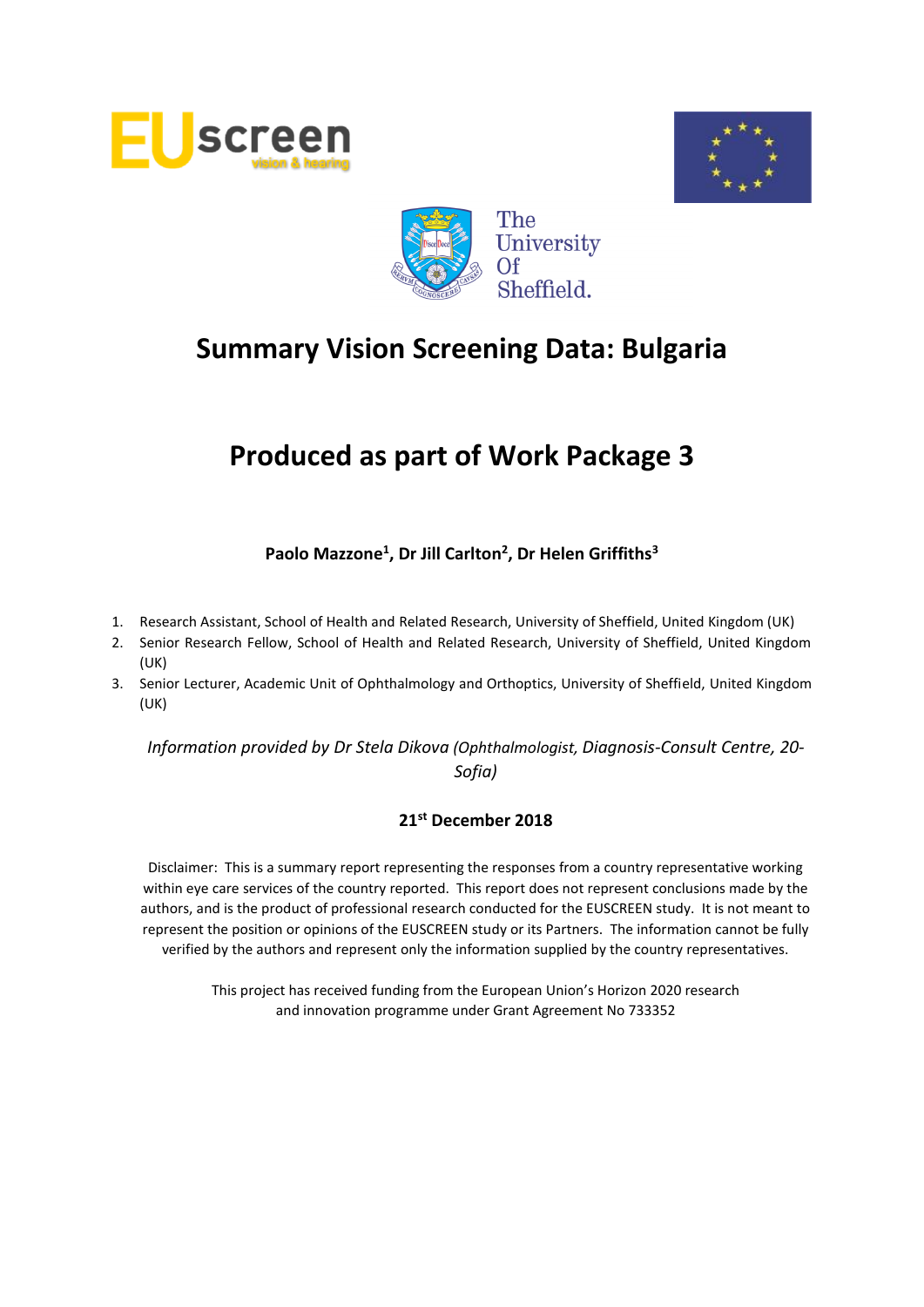





# **Produced as part of Work Package 3**

# **Paolo Mazzone<sup>1</sup> , Dr Jill Carlton<sup>2</sup> , Dr Helen Griffiths<sup>3</sup>**

- 1. Research Assistant, School of Health and Related Research, University of Sheffield, United Kingdom (UK)
- 2. Senior Research Fellow, School of Health and Related Research, University of Sheffield, United Kingdom (UK)
- 3. Senior Lecturer, Academic Unit of Ophthalmology and Orthoptics, University of Sheffield, United Kingdom (UK)

*Information provided by Dr Stela Dikova (Ophthalmologist, Diagnosis-Consult Centre, 20- Sofia)*

#### **21st December 2018**

Disclaimer: This is a summary report representing the responses from a country representative working within eye care services of the country reported. This report does not represent conclusions made by the authors, and is the product of professional research conducted for the EUSCREEN study. It is not meant to represent the position or opinions of the EUSCREEN study or its Partners. The information cannot be fully verified by the authors and represent only the information supplied by the country representatives.

> This project has received funding from the European Union's Horizon 2020 research and innovation programme under Grant Agreement No 733352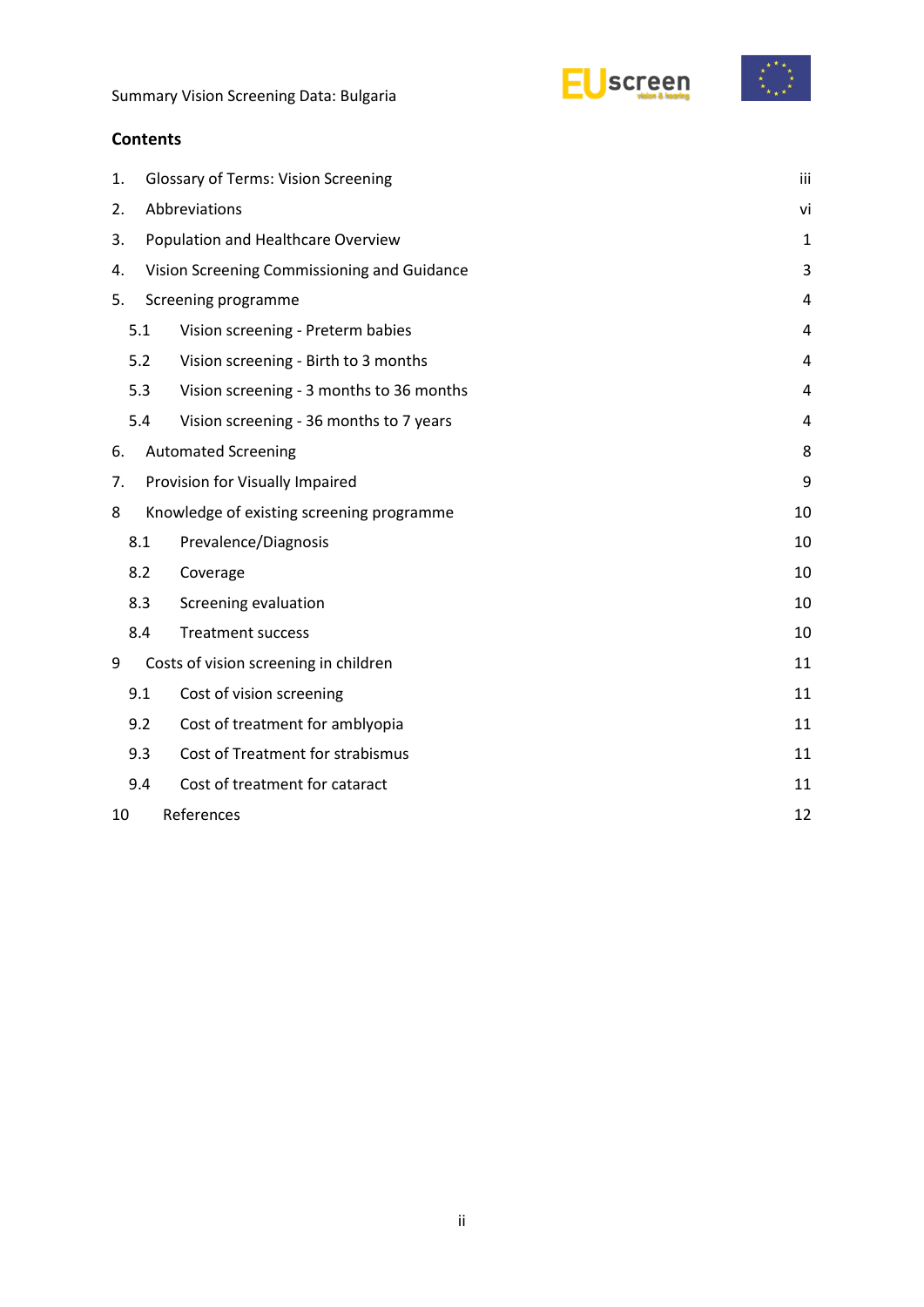



# **Contents**

| 1. |                                                 | <b>Glossary of Terms: Vision Screening</b>  | iii         |
|----|-------------------------------------------------|---------------------------------------------|-------------|
| 2. |                                                 | Abbreviations                               | vi          |
| 3. |                                                 | Population and Healthcare Overview          | $\mathbf 1$ |
| 4. |                                                 | Vision Screening Commissioning and Guidance | 3           |
| 5. |                                                 | Screening programme                         | 4           |
|    | 5.1                                             | Vision screening - Preterm babies           | 4           |
|    | 5.2                                             | Vision screening - Birth to 3 months        |             |
|    | 5.3<br>Vision screening - 3 months to 36 months |                                             | 4           |
|    | 5.4                                             | Vision screening - 36 months to 7 years     | 4           |
| 6. | <b>Automated Screening</b>                      |                                             |             |
|    | Provision for Visually Impaired<br>7.           |                                             | 9           |
| 8  |                                                 | Knowledge of existing screening programme   | 10          |
|    | 8.1                                             | Prevalence/Diagnosis                        | 10          |
|    | 8.2                                             | Coverage                                    | 10          |
|    | 8.3                                             | Screening evaluation                        | 10          |
|    | 8.4                                             | <b>Treatment success</b>                    | 10          |
| 9  |                                                 | Costs of vision screening in children       | 11          |
|    | 9.1                                             | Cost of vision screening                    | 11          |
|    | 9.2                                             | Cost of treatment for amblyopia             | 11          |
|    | 9.3                                             | Cost of Treatment for strabismus            | 11          |
|    | 9.4                                             | Cost of treatment for cataract              | 11          |
| 10 |                                                 | References                                  | 12          |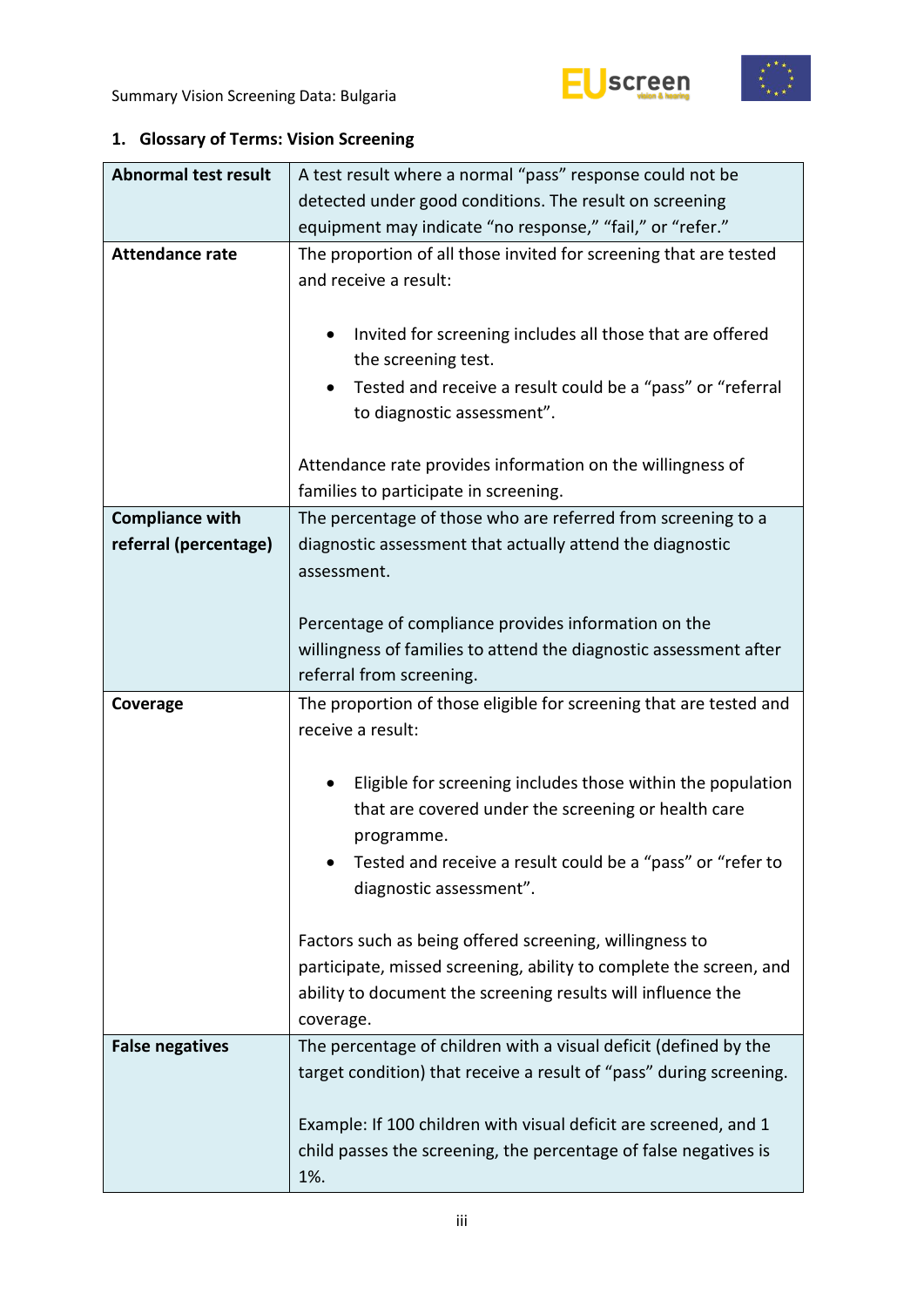



# <span id="page-2-0"></span>**1. Glossary of Terms: Vision Screening**

| <b>Abnormal test result</b> | A test result where a normal "pass" response could not be               |  |  |  |
|-----------------------------|-------------------------------------------------------------------------|--|--|--|
|                             | detected under good conditions. The result on screening                 |  |  |  |
|                             | equipment may indicate "no response," "fail," or "refer."               |  |  |  |
| <b>Attendance rate</b>      | The proportion of all those invited for screening that are tested       |  |  |  |
|                             | and receive a result:                                                   |  |  |  |
|                             |                                                                         |  |  |  |
|                             | Invited for screening includes all those that are offered<br>$\bullet$  |  |  |  |
|                             | the screening test.                                                     |  |  |  |
|                             | Tested and receive a result could be a "pass" or "referral              |  |  |  |
|                             | to diagnostic assessment".                                              |  |  |  |
|                             |                                                                         |  |  |  |
|                             | Attendance rate provides information on the willingness of              |  |  |  |
|                             | families to participate in screening.                                   |  |  |  |
| <b>Compliance with</b>      | The percentage of those who are referred from screening to a            |  |  |  |
| referral (percentage)       | diagnostic assessment that actually attend the diagnostic               |  |  |  |
|                             | assessment.                                                             |  |  |  |
|                             |                                                                         |  |  |  |
|                             | Percentage of compliance provides information on the                    |  |  |  |
|                             | willingness of families to attend the diagnostic assessment after       |  |  |  |
|                             | referral from screening.                                                |  |  |  |
|                             |                                                                         |  |  |  |
| Coverage                    | The proportion of those eligible for screening that are tested and      |  |  |  |
|                             | receive a result:                                                       |  |  |  |
|                             |                                                                         |  |  |  |
|                             | Eligible for screening includes those within the population             |  |  |  |
|                             | that are covered under the screening or health care                     |  |  |  |
|                             | programme.                                                              |  |  |  |
|                             | Tested and receive a result could be a "pass" or "refer to              |  |  |  |
|                             | diagnostic assessment".                                                 |  |  |  |
|                             |                                                                         |  |  |  |
|                             | Factors such as being offered screening, willingness to                 |  |  |  |
|                             | participate, missed screening, ability to complete the screen, and      |  |  |  |
|                             | ability to document the screening results will influence the            |  |  |  |
|                             | coverage.                                                               |  |  |  |
| <b>False negatives</b>      | The percentage of children with a visual deficit (defined by the        |  |  |  |
|                             | target condition) that receive a result of "pass" during screening.     |  |  |  |
|                             |                                                                         |  |  |  |
|                             | Example: If 100 children with visual deficit are screened, and 1        |  |  |  |
|                             | child passes the screening, the percentage of false negatives is<br>1%. |  |  |  |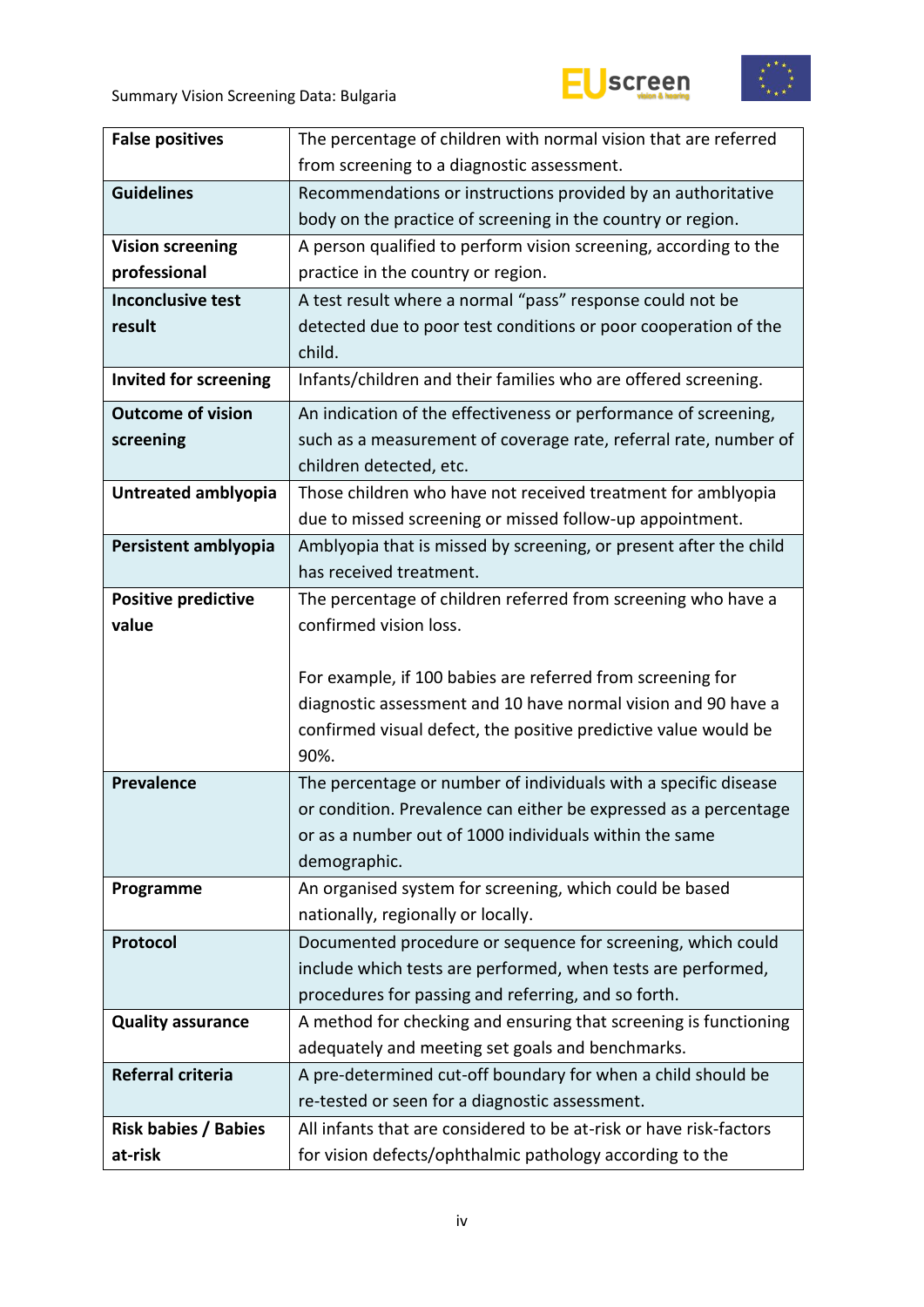



| <b>False positives</b>       | The percentage of children with normal vision that are referred    |  |  |
|------------------------------|--------------------------------------------------------------------|--|--|
|                              | from screening to a diagnostic assessment.                         |  |  |
| <b>Guidelines</b>            | Recommendations or instructions provided by an authoritative       |  |  |
|                              | body on the practice of screening in the country or region.        |  |  |
| <b>Vision screening</b>      | A person qualified to perform vision screening, according to the   |  |  |
| professional                 | practice in the country or region.                                 |  |  |
| <b>Inconclusive test</b>     | A test result where a normal "pass" response could not be          |  |  |
| result                       | detected due to poor test conditions or poor cooperation of the    |  |  |
|                              | child.                                                             |  |  |
| <b>Invited for screening</b> | Infants/children and their families who are offered screening.     |  |  |
| <b>Outcome of vision</b>     | An indication of the effectiveness or performance of screening,    |  |  |
| screening                    | such as a measurement of coverage rate, referral rate, number of   |  |  |
|                              | children detected, etc.                                            |  |  |
| Untreated amblyopia          | Those children who have not received treatment for amblyopia       |  |  |
|                              | due to missed screening or missed follow-up appointment.           |  |  |
| Persistent amblyopia         | Amblyopia that is missed by screening, or present after the child  |  |  |
|                              | has received treatment.                                            |  |  |
| <b>Positive predictive</b>   | The percentage of children referred from screening who have a      |  |  |
| value                        | confirmed vision loss.                                             |  |  |
|                              |                                                                    |  |  |
|                              | For example, if 100 babies are referred from screening for         |  |  |
|                              | diagnostic assessment and 10 have normal vision and 90 have a      |  |  |
|                              | confirmed visual defect, the positive predictive value would be    |  |  |
|                              | 90%.                                                               |  |  |
| <b>Prevalence</b>            | The percentage or number of individuals with a specific disease    |  |  |
|                              | or condition. Prevalence can either be expressed as a percentage   |  |  |
|                              | or as a number out of 1000 individuals within the same             |  |  |
|                              | demographic.                                                       |  |  |
| Programme                    | An organised system for screening, which could be based            |  |  |
|                              | nationally, regionally or locally.                                 |  |  |
| Protocol                     | Documented procedure or sequence for screening, which could        |  |  |
|                              | include which tests are performed, when tests are performed,       |  |  |
|                              | procedures for passing and referring, and so forth.                |  |  |
| <b>Quality assurance</b>     | A method for checking and ensuring that screening is functioning   |  |  |
|                              | adequately and meeting set goals and benchmarks.                   |  |  |
| Referral criteria            | A pre-determined cut-off boundary for when a child should be       |  |  |
|                              | re-tested or seen for a diagnostic assessment.                     |  |  |
| <b>Risk babies / Babies</b>  | All infants that are considered to be at-risk or have risk-factors |  |  |
| at-risk                      | for vision defects/ophthalmic pathology according to the           |  |  |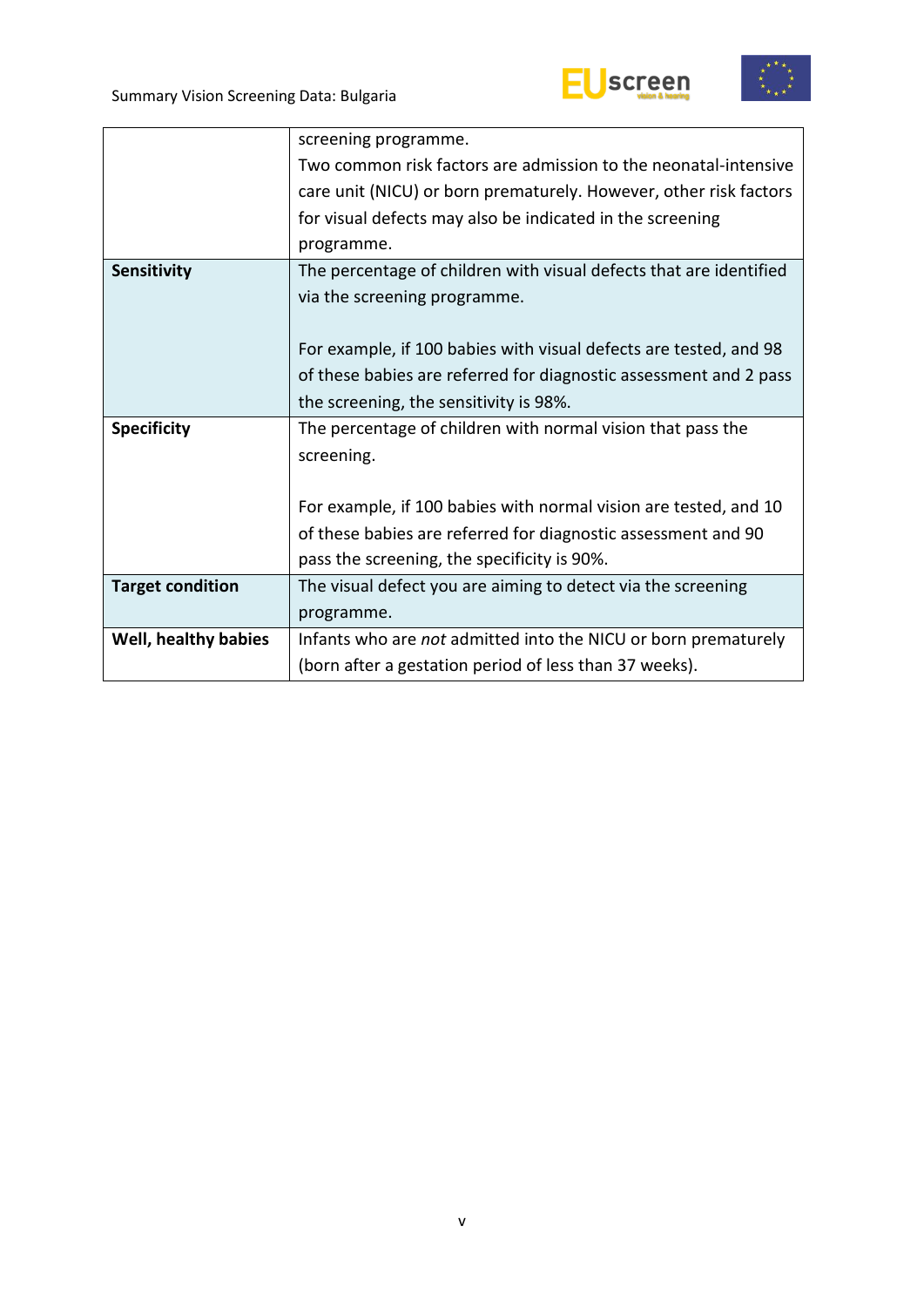



| screening programme.                                               |
|--------------------------------------------------------------------|
| Two common risk factors are admission to the neonatal-intensive    |
| care unit (NICU) or born prematurely. However, other risk factors  |
| for visual defects may also be indicated in the screening          |
| programme.                                                         |
| The percentage of children with visual defects that are identified |
| via the screening programme.                                       |
|                                                                    |
| For example, if 100 babies with visual defects are tested, and 98  |
| of these babies are referred for diagnostic assessment and 2 pass  |
| the screening, the sensitivity is 98%.                             |
| The percentage of children with normal vision that pass the        |
| screening.                                                         |
|                                                                    |
| For example, if 100 babies with normal vision are tested, and 10   |
| of these babies are referred for diagnostic assessment and 90      |
| pass the screening, the specificity is 90%.                        |
| The visual defect you are aiming to detect via the screening       |
| programme.                                                         |
| Infants who are not admitted into the NICU or born prematurely     |
| (born after a gestation period of less than 37 weeks).             |
|                                                                    |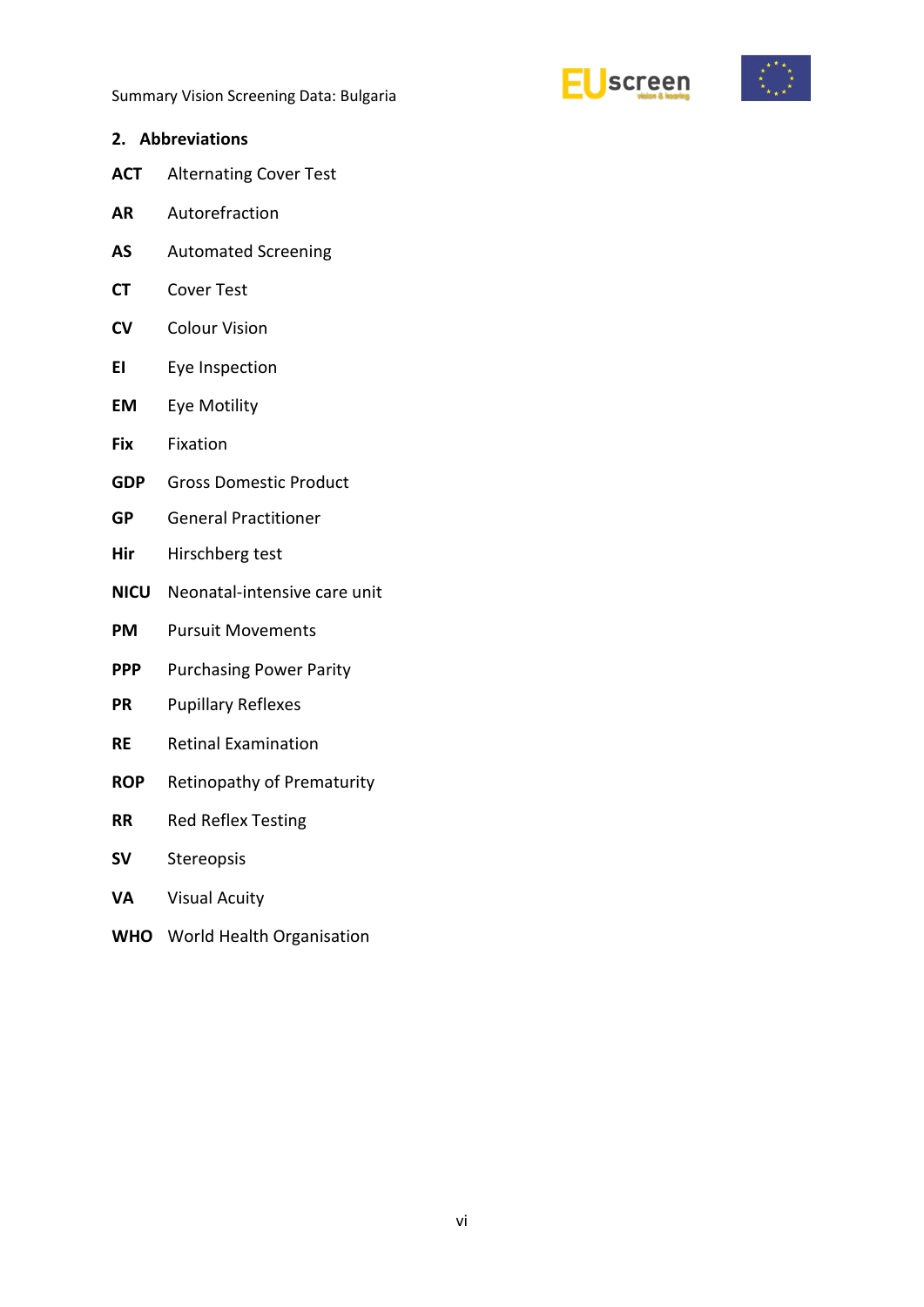



<span id="page-5-0"></span>

| <b>Abbreviations</b><br>2. |
|----------------------------|
|----------------------------|

- **ACT** Alternating Cover Test
- **AR** Autorefraction
- **AS** Automated Screening
- **CT** Cover Test
- **CV** Colour Vision
- **EI** Eye Inspection
- **EM** Eye Motility
- **Fix** Fixation
- **GDP** Gross Domestic Product
- **GP** General Practitioner
- **Hir** Hirschberg test
- **NICU** Neonatal-intensive care unit
- **PM** Pursuit Movements
- **PPP** Purchasing Power Parity
- **PR** Pupillary Reflexes
- **RE** Retinal Examination
- **ROP** Retinopathy of Prematurity
- **RR** Red Reflex Testing
- **SV** Stereopsis
- **VA** Visual Acuity
- **WHO** World Health Organisation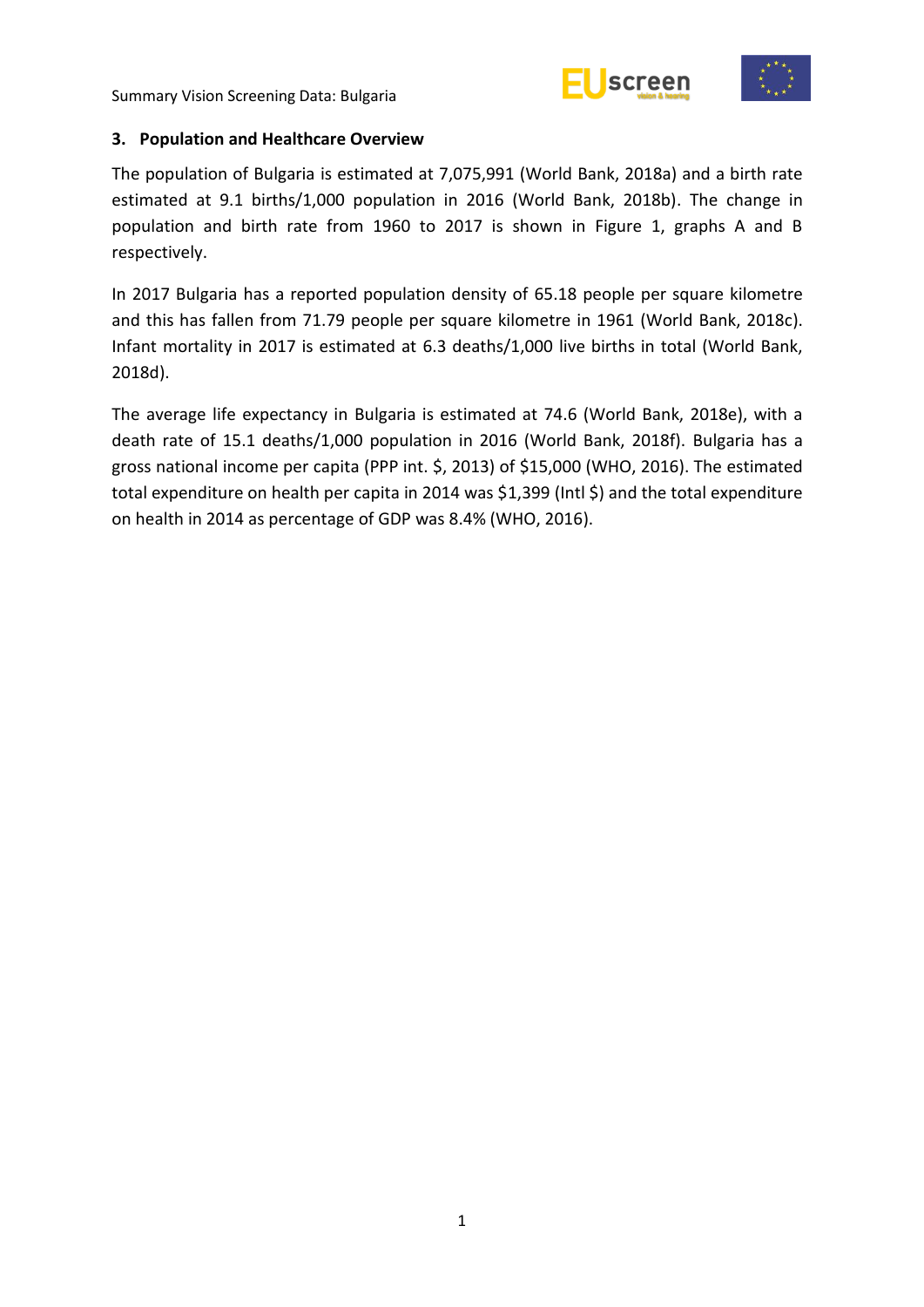



#### <span id="page-6-0"></span>**3. Population and Healthcare Overview**

The population of Bulgaria is estimated at 7,075,991 (World Bank, 2018a) and a birth rate estimated at 9.1 births/1,000 population in 2016 (World Bank, 2018b). The change in population and birth rate from 1960 to 2017 is shown in Figure 1, graphs A and B respectively.

In 2017 Bulgaria has a reported population density of 65.18 people per square kilometre and this has fallen from 71.79 people per square kilometre in 1961 (World Bank, 2018c). Infant mortality in 2017 is estimated at 6.3 deaths/1,000 live births in total (World Bank, 2018d).

The average life expectancy in Bulgaria is estimated at 74.6 (World Bank, 2018e), with a death rate of 15.1 deaths/1,000 population in 2016 (World Bank, 2018f). Bulgaria has a gross national income per capita (PPP int. \$, 2013) of \$15,000 (WHO, 2016). The estimated total expenditure on health per capita in 2014 was \$1,399 (Intl \$) and the total expenditure on health in 2014 as percentage of GDP was 8.4% (WHO, 2016).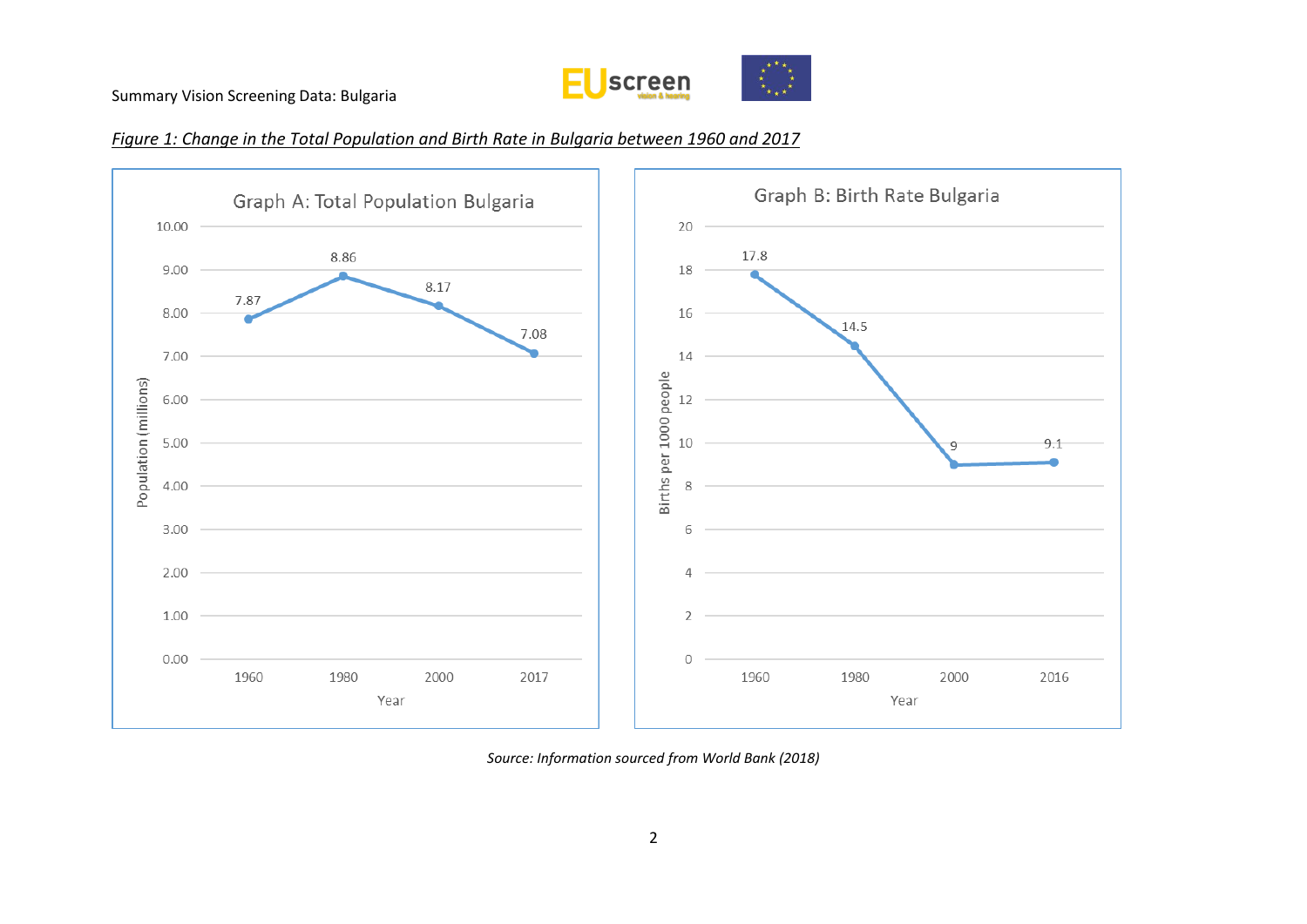

#### *Figure 1: Change in the Total Population and Birth Rate in Bulgaria between 1960 and 2017*



*Source: Information sourced from World Bank (2018)*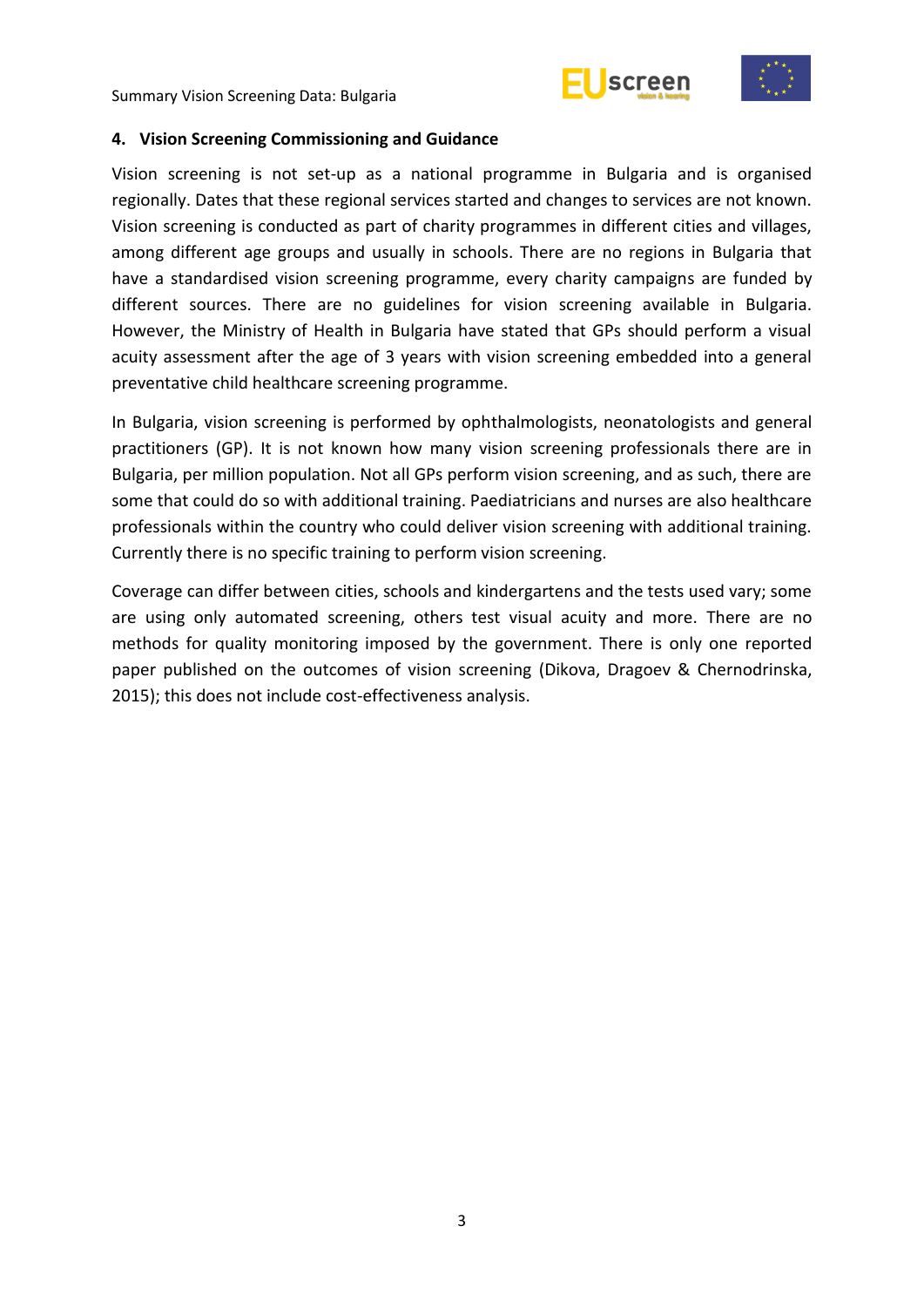



#### <span id="page-8-0"></span>**4. Vision Screening Commissioning and Guidance**

Vision screening is not set-up as a national programme in Bulgaria and is organised regionally. Dates that these regional services started and changes to services are not known. Vision screening is conducted as part of charity programmes in different cities and villages, among different age groups and usually in schools. There are no regions in Bulgaria that have a standardised vision screening programme, every charity campaigns are funded by different sources. There are no guidelines for vision screening available in Bulgaria. However, the Ministry of Health in Bulgaria have stated that GPs should perform a visual acuity assessment after the age of 3 years with vision screening embedded into a general preventative child healthcare screening programme.

In Bulgaria, vision screening is performed by ophthalmologists, neonatologists and general practitioners (GP). It is not known how many vision screening professionals there are in Bulgaria, per million population. Not all GPs perform vision screening, and as such, there are some that could do so with additional training. Paediatricians and nurses are also healthcare professionals within the country who could deliver vision screening with additional training. Currently there is no specific training to perform vision screening.

Coverage can differ between cities, schools and kindergartens and the tests used vary; some are using only automated screening, others test visual acuity and more. There are no methods for quality monitoring imposed by the government. There is only one reported paper published on the outcomes of vision screening (Dikova, Dragoev & Chernodrinska, 2015); this does not include cost-effectiveness analysis.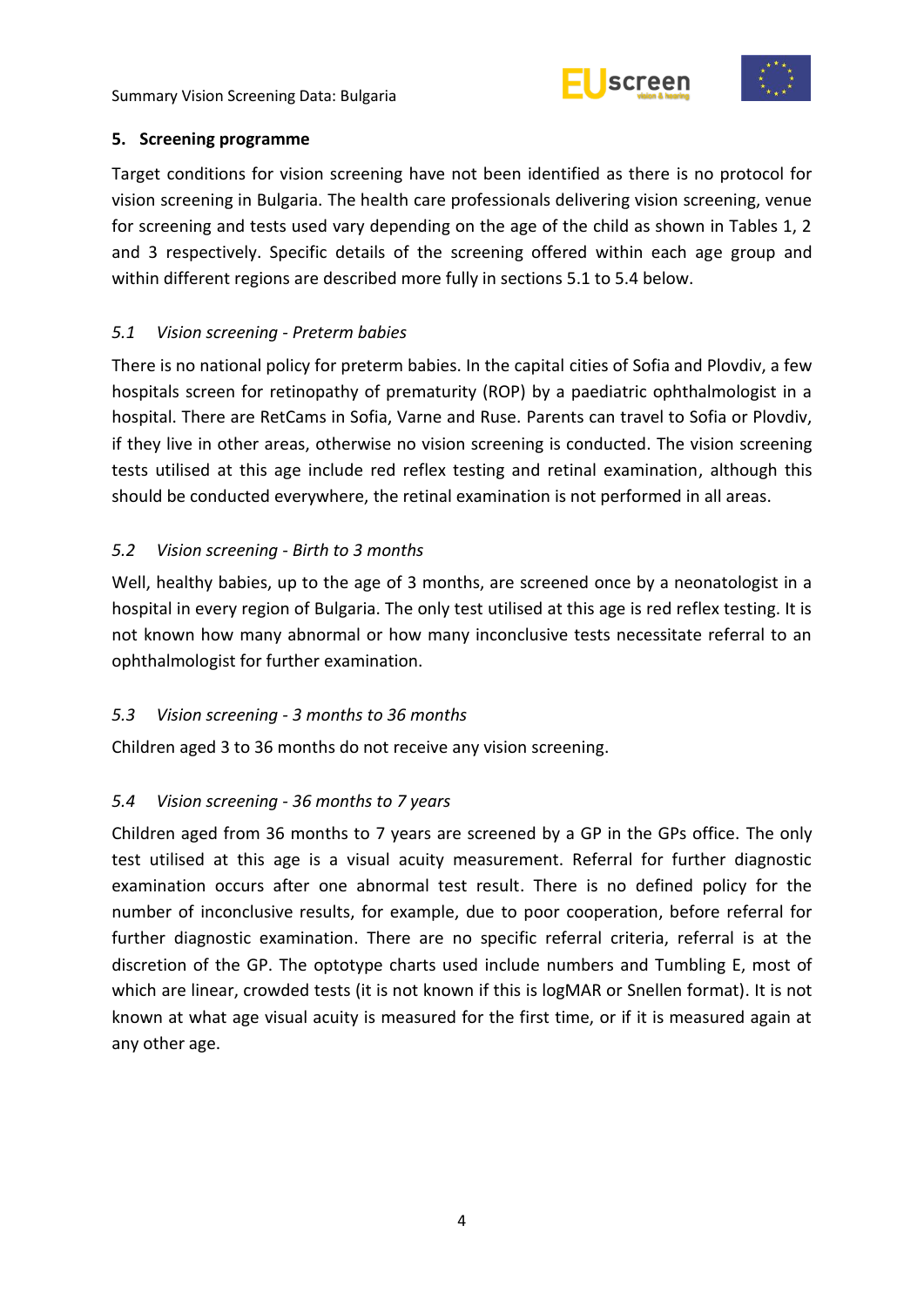



#### <span id="page-9-0"></span>**5. Screening programme**

Target conditions for vision screening have not been identified as there is no protocol for vision screening in Bulgaria. The health care professionals delivering vision screening, venue for screening and tests used vary depending on the age of the child as shown in Tables 1, 2 and 3 respectively. Specific details of the screening offered within each age group and within different regions are described more fully in sections 5.1 to 5.4 below.

## <span id="page-9-1"></span>*5.1 Vision screening - Preterm babies*

There is no national policy for preterm babies. In the capital cities of Sofia and Plovdiv, a few hospitals screen for retinopathy of prematurity (ROP) by a paediatric ophthalmologist in a hospital. There are RetCams in Sofia, Varne and Ruse. Parents can travel to Sofia or Plovdiv, if they live in other areas, otherwise no vision screening is conducted. The vision screening tests utilised at this age include red reflex testing and retinal examination, although this should be conducted everywhere, the retinal examination is not performed in all areas.

## <span id="page-9-2"></span>*5.2 Vision screening - Birth to 3 months*

Well, healthy babies, up to the age of 3 months, are screened once by a neonatologist in a hospital in every region of Bulgaria. The only test utilised at this age is red reflex testing. It is not known how many abnormal or how many inconclusive tests necessitate referral to an ophthalmologist for further examination.

#### <span id="page-9-3"></span>*5.3 Vision screening - 3 months to 36 months*

Children aged 3 to 36 months do not receive any vision screening.

# <span id="page-9-4"></span>*5.4 Vision screening - 36 months to 7 years*

Children aged from 36 months to 7 years are screened by a GP in the GPs office. The only test utilised at this age is a visual acuity measurement. Referral for further diagnostic examination occurs after one abnormal test result. There is no defined policy for the number of inconclusive results, for example, due to poor cooperation, before referral for further diagnostic examination. There are no specific referral criteria, referral is at the discretion of the GP. The optotype charts used include numbers and Tumbling E, most of which are linear, crowded tests (it is not known if this is logMAR or Snellen format). It is not known at what age visual acuity is measured for the first time, or if it is measured again at any other age.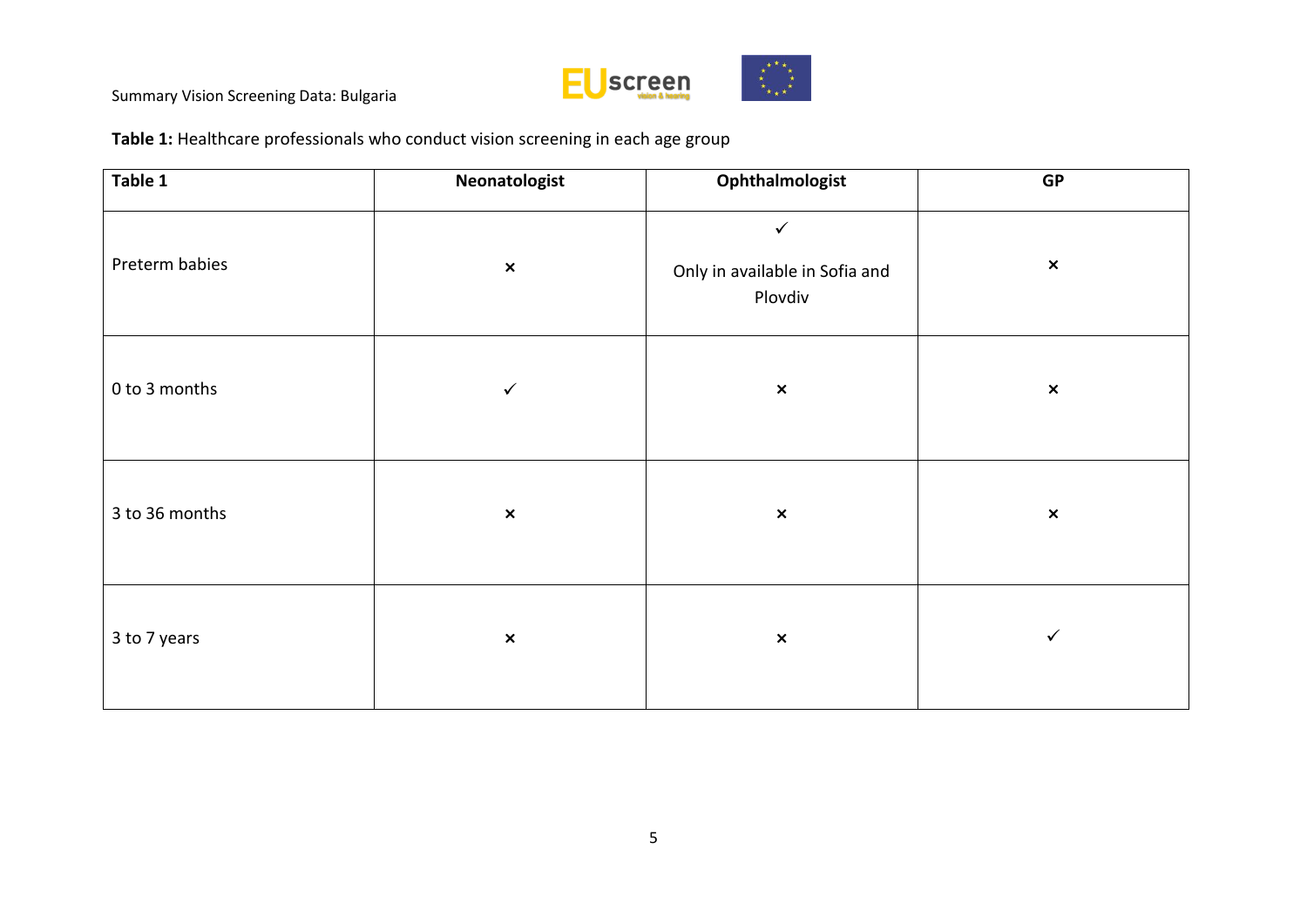

**Table 1:** Healthcare professionals who conduct vision screening in each age group

| Table 1        | Neonatologist  | Ophthalmologist                                           | <b>GP</b>      |
|----------------|----------------|-----------------------------------------------------------|----------------|
| Preterm babies | $\pmb{\times}$ | $\checkmark$<br>Only in available in Sofia and<br>Plovdiv | $\pmb{\times}$ |
| 0 to 3 months  | $\checkmark$   | $\pmb{\times}$                                            | $\pmb{\times}$ |
| 3 to 36 months | $\pmb{\times}$ | $\pmb{\times}$                                            | $\pmb{\times}$ |
| 3 to 7 years   | $\pmb{\times}$ | $\pmb{\times}$                                            | $\checkmark$   |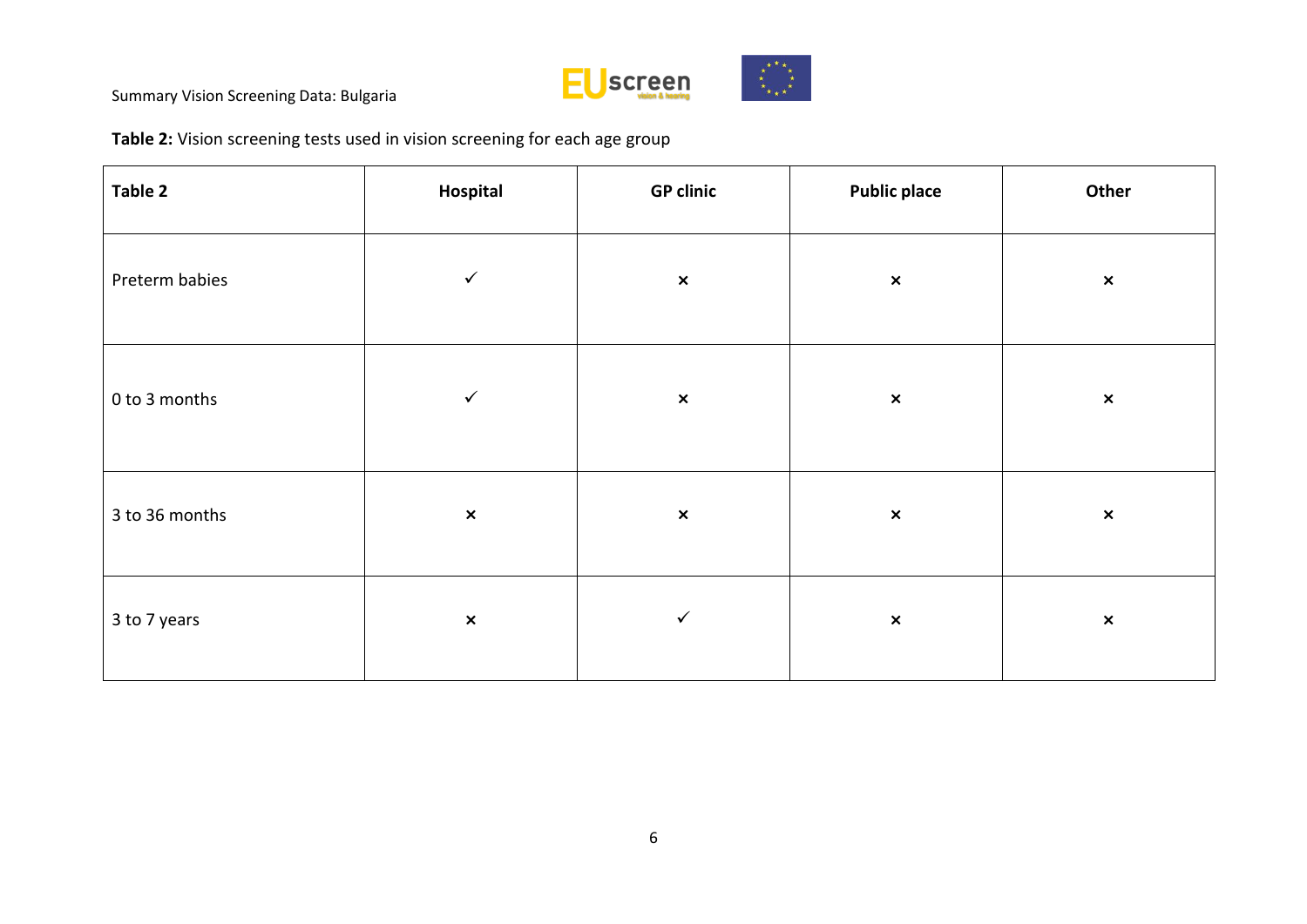

**Table 2:** Vision screening tests used in vision screening for each age group

| Table 2        | Hospital       | <b>GP clinic</b> | <b>Public place</b> | Other          |
|----------------|----------------|------------------|---------------------|----------------|
| Preterm babies | $\checkmark$   | $\pmb{\times}$   | $\pmb{\times}$      | $\pmb{\times}$ |
| 0 to 3 months  | $\checkmark$   | $\pmb{\times}$   | $\pmb{\times}$      | $\pmb{\times}$ |
| 3 to 36 months | $\pmb{\times}$ | $\pmb{\times}$   | $\pmb{\times}$      | $\pmb{\times}$ |
| 3 to 7 years   | $\pmb{\times}$ | $\checkmark$     | $\pmb{\times}$      | $\pmb{\times}$ |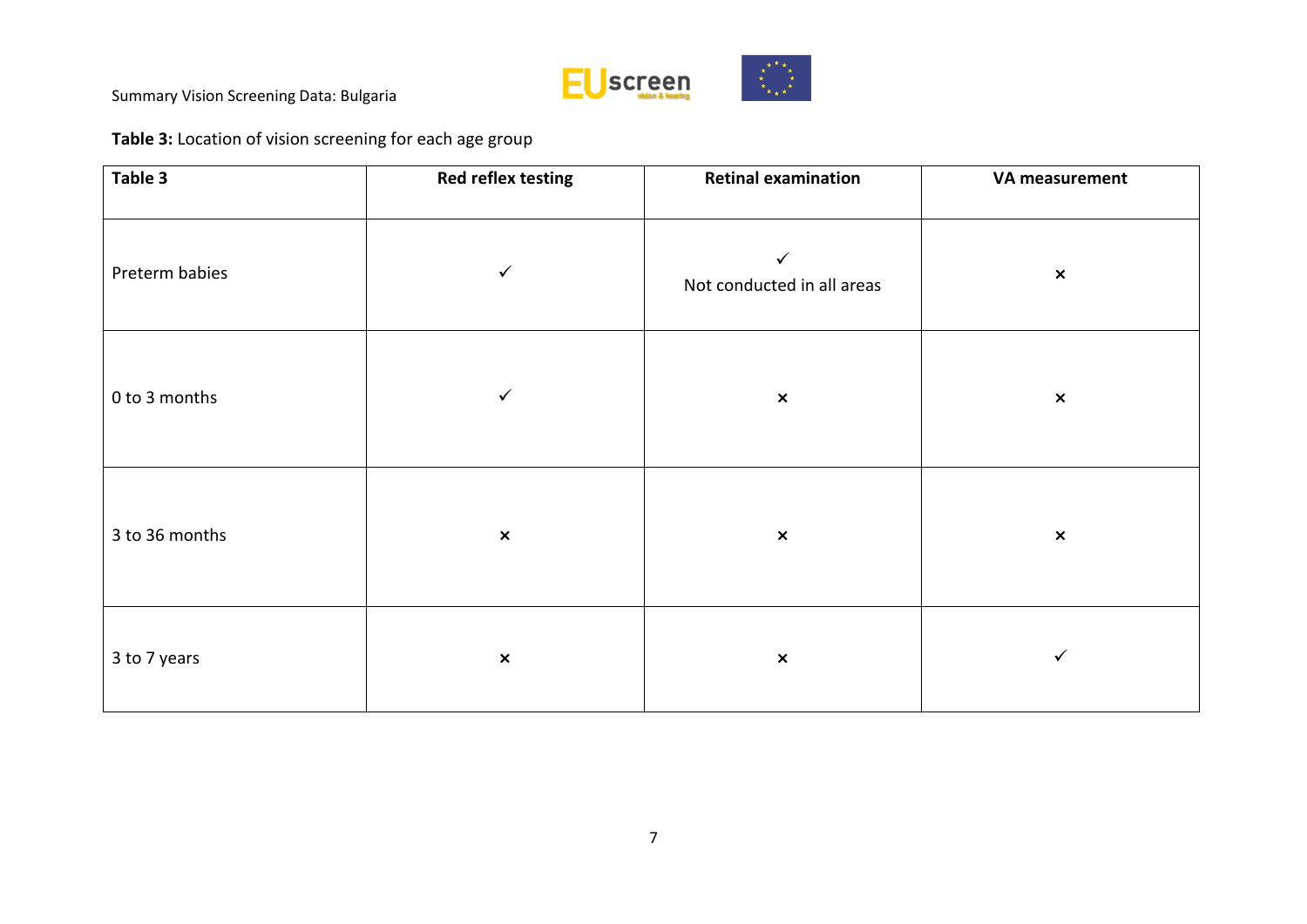

# **Table 3:** Location of vision screening for each age group

| Table 3        | <b>Red reflex testing</b> | <b>Retinal examination</b>                 | VA measurement |
|----------------|---------------------------|--------------------------------------------|----------------|
| Preterm babies | $\checkmark$              | $\checkmark$<br>Not conducted in all areas | $\pmb{\times}$ |
| 0 to 3 months  | $\checkmark$              | $\pmb{\times}$                             | $\pmb{\times}$ |
| 3 to 36 months | $\pmb{\times}$            | $\pmb{\times}$                             | $\pmb{\times}$ |
| 3 to 7 years   | $\pmb{\times}$            | $\pmb{\times}$                             | ✓              |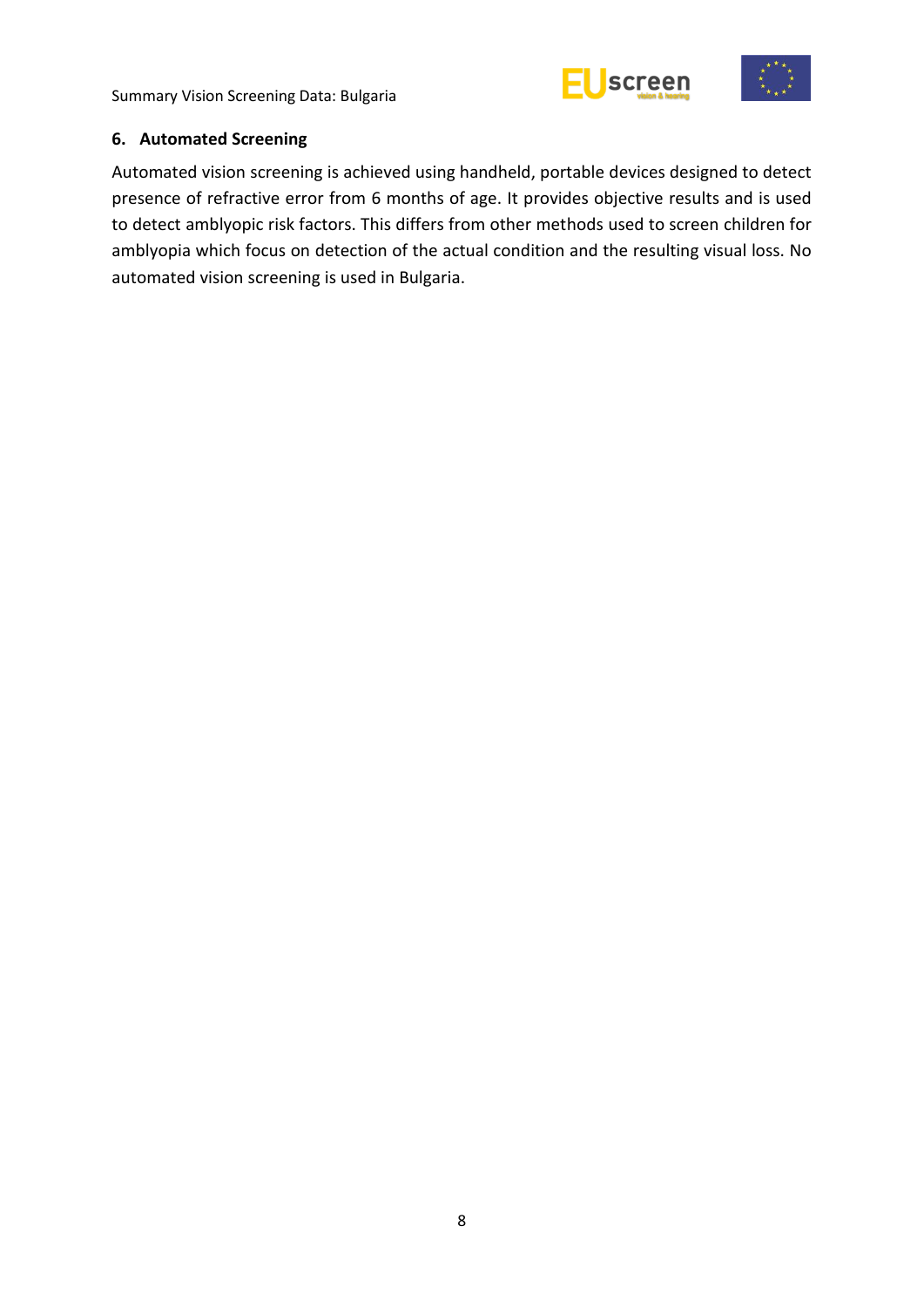



#### <span id="page-13-0"></span>**6. Automated Screening**

Automated vision screening is achieved using handheld, portable devices designed to detect presence of refractive error from 6 months of age. It provides objective results and is used to detect amblyopic risk factors. This differs from other methods used to screen children for amblyopia which focus on detection of the actual condition and the resulting visual loss. No automated vision screening is used in Bulgaria.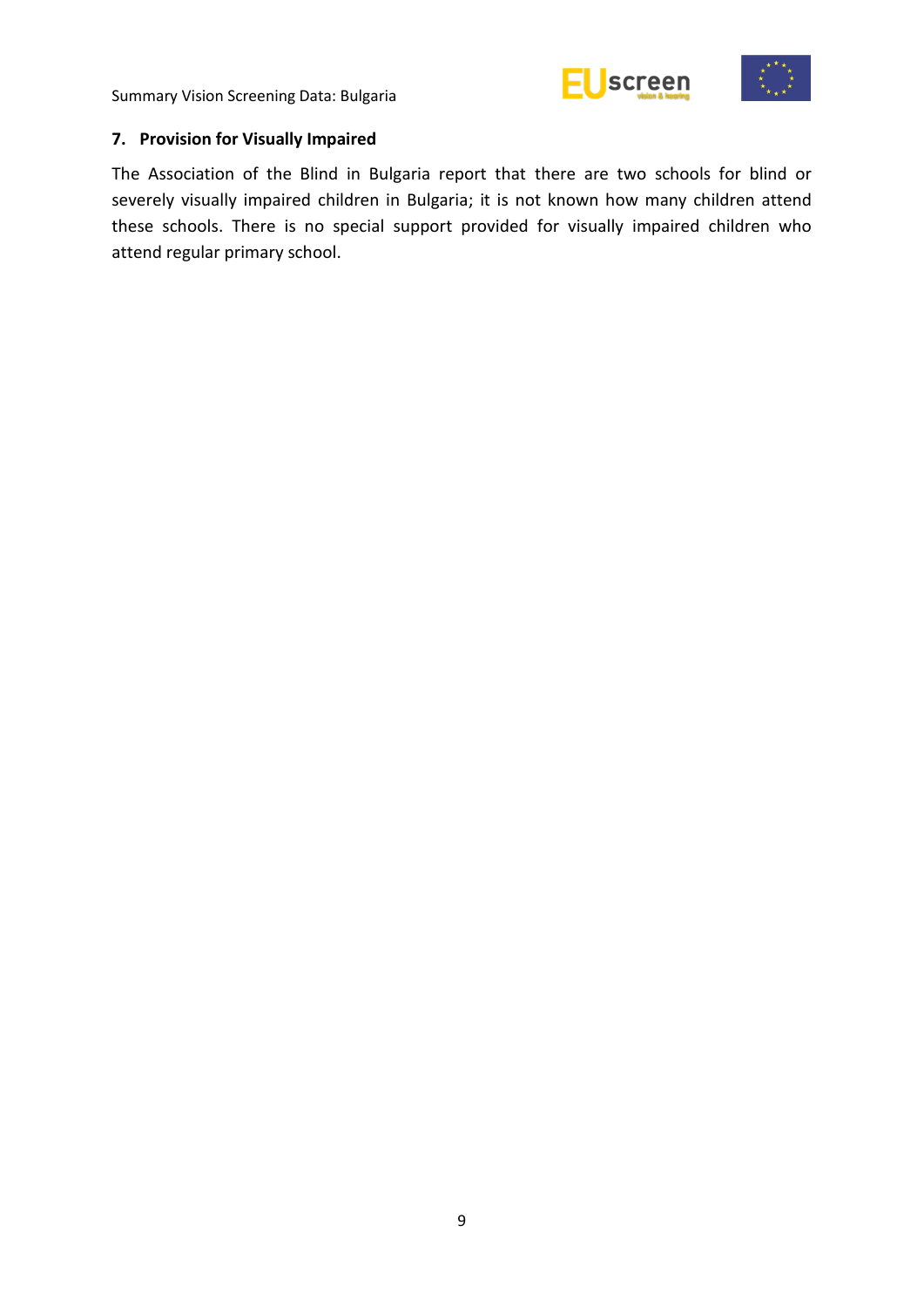



## <span id="page-14-0"></span>**7. Provision for Visually Impaired**

The Association of the Blind in Bulgaria report that there are two schools for blind or severely visually impaired children in Bulgaria; it is not known how many children attend these schools. There is no special support provided for visually impaired children who attend regular primary school.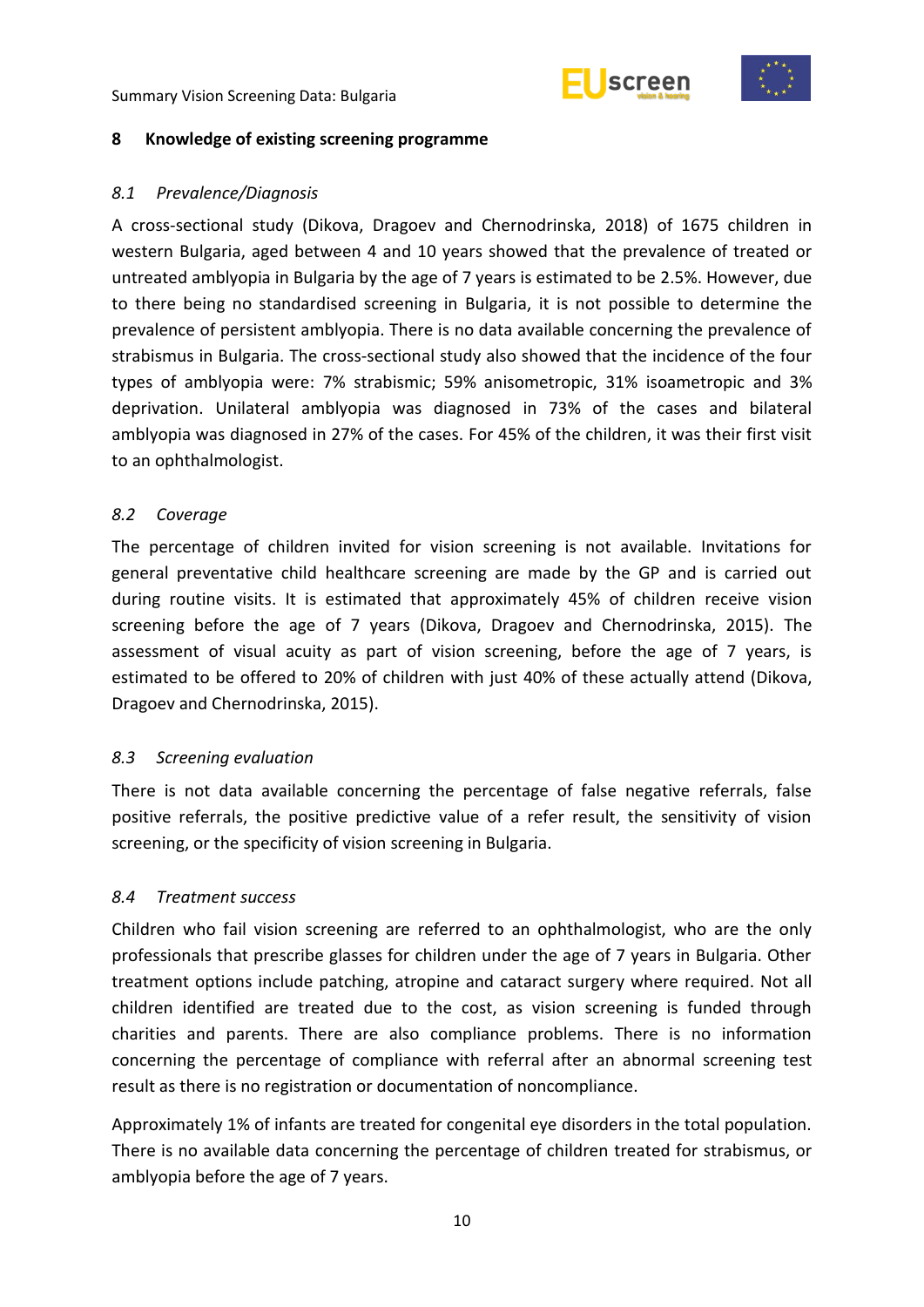



#### <span id="page-15-0"></span>**8 Knowledge of existing screening programme**

#### <span id="page-15-1"></span>*8.1 Prevalence/Diagnosis*

A cross-sectional study (Dikova, Dragoev and Chernodrinska, 2018) of 1675 children in western Bulgaria, aged between 4 and 10 years showed that the prevalence of treated or untreated amblyopia in Bulgaria by the age of 7 years is estimated to be 2.5%. However, due to there being no standardised screening in Bulgaria, it is not possible to determine the prevalence of persistent amblyopia. There is no data available concerning the prevalence of strabismus in Bulgaria. The cross-sectional study also showed that the incidence of the four types of amblyopia were: 7% strabismic; 59% anisometropic, 31% isoametropic and 3% deprivation. Unilateral amblyopia was diagnosed in 73% of the cases and bilateral amblyopia was diagnosed in 27% of the cases. For 45% of the children, it was their first visit to an ophthalmologist.

#### <span id="page-15-2"></span>*8.2 Coverage*

The percentage of children invited for vision screening is not available. Invitations for general preventative child healthcare screening are made by the GP and is carried out during routine visits. It is estimated that approximately 45% of children receive vision screening before the age of 7 years (Dikova, Dragoev and Chernodrinska, 2015). The assessment of visual acuity as part of vision screening, before the age of 7 years, is estimated to be offered to 20% of children with just 40% of these actually attend (Dikova, Dragoev and Chernodrinska, 2015).

#### <span id="page-15-3"></span>*8.3 Screening evaluation*

There is not data available concerning the percentage of false negative referrals, false positive referrals, the positive predictive value of a refer result, the sensitivity of vision screening, or the specificity of vision screening in Bulgaria.

#### <span id="page-15-4"></span>*8.4 Treatment success*

Children who fail vision screening are referred to an ophthalmologist, who are the only professionals that prescribe glasses for children under the age of 7 years in Bulgaria. Other treatment options include patching, atropine and cataract surgery where required. Not all children identified are treated due to the cost, as vision screening is funded through charities and parents. There are also compliance problems. There is no information concerning the percentage of compliance with referral after an abnormal screening test result as there is no registration or documentation of noncompliance.

Approximately 1% of infants are treated for congenital eye disorders in the total population. There is no available data concerning the percentage of children treated for strabismus, or amblyopia before the age of 7 years.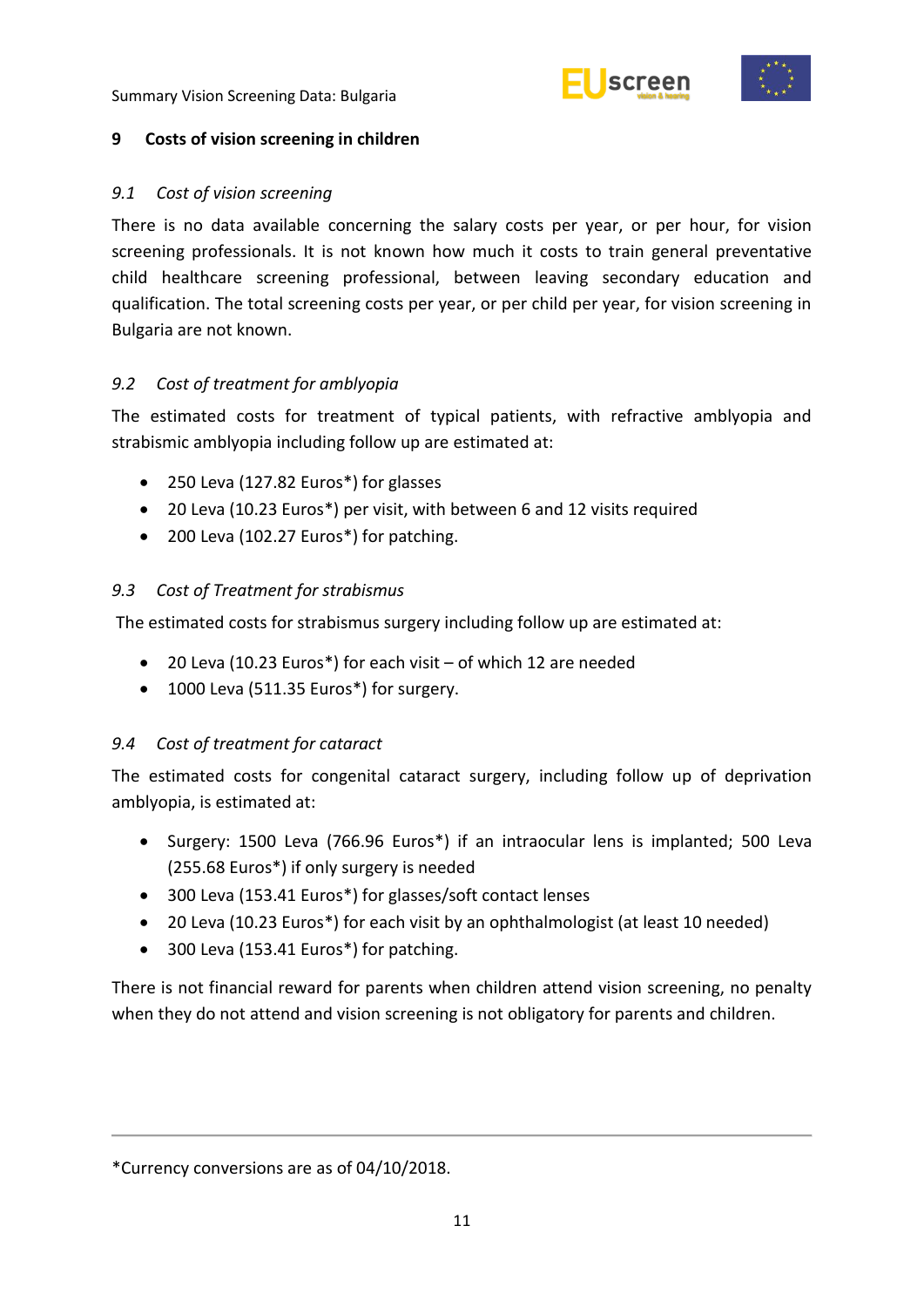



#### <span id="page-16-0"></span>**9 Costs of vision screening in children**

#### <span id="page-16-1"></span>*9.1 Cost of vision screening*

There is no data available concerning the salary costs per year, or per hour, for vision screening professionals. It is not known how much it costs to train general preventative child healthcare screening professional, between leaving secondary education and qualification. The total screening costs per year, or per child per year, for vision screening in Bulgaria are not known.

#### <span id="page-16-2"></span>*9.2 Cost of treatment for amblyopia*

The estimated costs for treatment of typical patients, with refractive amblyopia and strabismic amblyopia including follow up are estimated at:

- 250 Leva (127.82 Euros\*) for glasses
- 20 Leva (10.23 Euros\*) per visit, with between 6 and 12 visits required
- 200 Leva (102.27 Euros\*) for patching.

#### <span id="page-16-3"></span>*9.3 Cost of Treatment for strabismus*

The estimated costs for strabismus surgery including follow up are estimated at:

- 20 Leva (10.23 Euros\*) for each visit of which 12 are needed
- 1000 Leva (511.35 Euros\*) for surgery.

#### <span id="page-16-4"></span>*9.4 Cost of treatment for cataract*

The estimated costs for congenital cataract surgery, including follow up of deprivation amblyopia, is estimated at:

- Surgery: 1500 Leva (766.96 Euros\*) if an intraocular lens is implanted; 500 Leva (255.68 Euros\*) if only surgery is needed
- 300 Leva (153.41 Euros\*) for glasses/soft contact lenses
- 20 Leva (10.23 Euros\*) for each visit by an ophthalmologist (at least 10 needed)
- 300 Leva (153.41 Euros\*) for patching.

There is not financial reward for parents when children attend vision screening, no penalty when they do not attend and vision screening is not obligatory for parents and children.

<sup>\*</sup>Currency conversions are as of 04/10/2018.